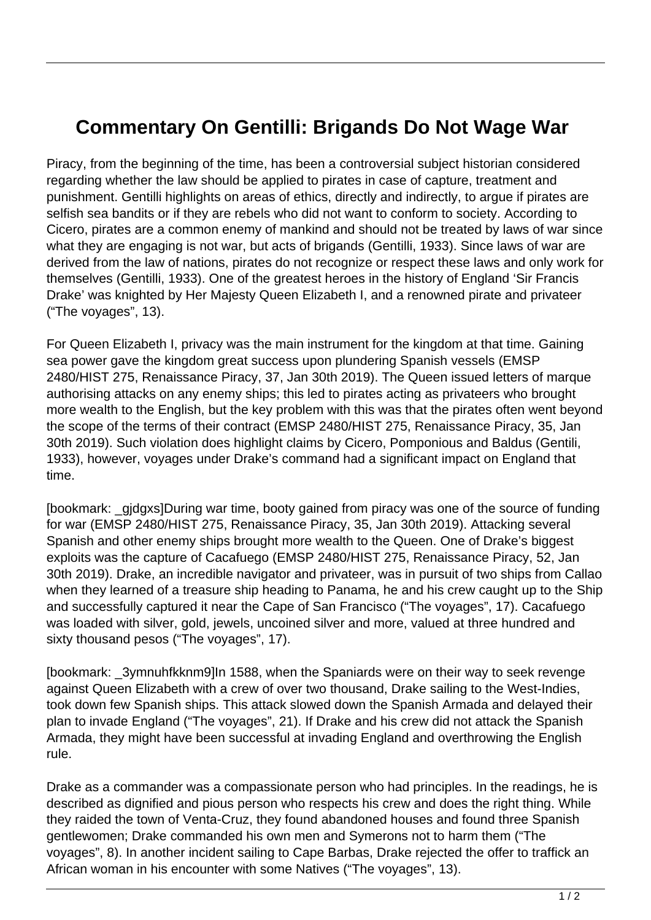## **Commentary On Gentilli: Brigands Do Not Wage War**

Piracy, from the beginning of the time, has been a controversial subject historian considered regarding whether the law should be applied to pirates in case of capture, treatment and punishment. Gentilli highlights on areas of ethics, directly and indirectly, to argue if pirates are selfish sea bandits or if they are rebels who did not want to conform to society. According to Cicero, pirates are a common enemy of mankind and should not be treated by laws of war since what they are engaging is not war, but acts of brigands (Gentilli, 1933). Since laws of war are derived from the law of nations, pirates do not recognize or respect these laws and only work for themselves (Gentilli, 1933). One of the greatest heroes in the history of England 'Sir Francis Drake' was knighted by Her Majesty Queen Elizabeth I, and a renowned pirate and privateer ("The voyages", 13).

For Queen Elizabeth I, privacy was the main instrument for the kingdom at that time. Gaining sea power gave the kingdom great success upon plundering Spanish vessels (EMSP 2480/HIST 275, Renaissance Piracy, 37, Jan 30th 2019). The Queen issued letters of marque authorising attacks on any enemy ships; this led to pirates acting as privateers who brought more wealth to the English, but the key problem with this was that the pirates often went beyond the scope of the terms of their contract (EMSP 2480/HIST 275, Renaissance Piracy, 35, Jan 30th 2019). Such violation does highlight claims by Cicero, Pomponious and Baldus (Gentili, 1933), however, voyages under Drake's command had a significant impact on England that time.

[bookmark: \_gjdgxs]During war time, booty gained from piracy was one of the source of funding for war (EMSP 2480/HIST 275, Renaissance Piracy, 35, Jan 30th 2019). Attacking several Spanish and other enemy ships brought more wealth to the Queen. One of Drake's biggest exploits was the capture of Cacafuego (EMSP 2480/HIST 275, Renaissance Piracy, 52, Jan 30th 2019). Drake, an incredible navigator and privateer, was in pursuit of two ships from Callao when they learned of a treasure ship heading to Panama, he and his crew caught up to the Ship and successfully captured it near the Cape of San Francisco ("The voyages", 17). Cacafuego was loaded with silver, gold, jewels, uncoined silver and more, valued at three hundred and sixty thousand pesos ("The voyages", 17).

[bookmark: \_3ymnuhfkknm9]In 1588, when the Spaniards were on their way to seek revenge against Queen Elizabeth with a crew of over two thousand, Drake sailing to the West-Indies, took down few Spanish ships. This attack slowed down the Spanish Armada and delayed their plan to invade England ("The voyages", 21). If Drake and his crew did not attack the Spanish Armada, they might have been successful at invading England and overthrowing the English rule.

Drake as a commander was a compassionate person who had principles. In the readings, he is described as dignified and pious person who respects his crew and does the right thing. While they raided the town of Venta-Cruz, they found abandoned houses and found three Spanish gentlewomen; Drake commanded his own men and Symerons not to harm them ("The voyages", 8). In another incident sailing to Cape Barbas, Drake rejected the offer to traffick an African woman in his encounter with some Natives ("The voyages", 13).